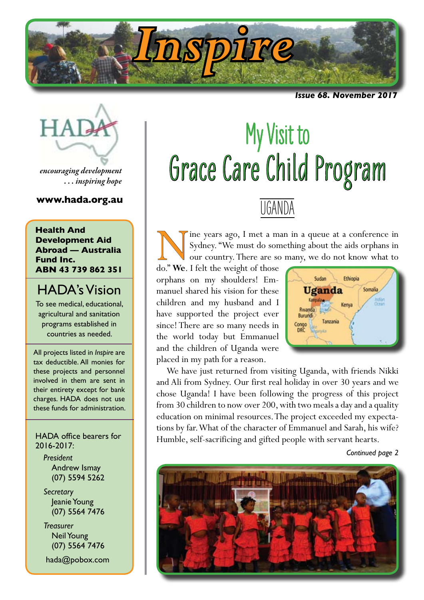

*Issue 68. November 20* 



*encouraging development . . . inspiring hope*

# **www.hada.org.au**

**Health And Development Aid Abroad — Australia Fund Inc. ABN 43 739 862 351**

# HADA's Vision

To see medical, educational, agricultural and sanitation programs established in countries as needed.

All projects listed in *Inspire* are tax deductible. All monies for these projects and personnel involved in them are sent in their entirety except for bank charges. HADA does not use these funds for administration.

HADA office bearers for 2016-2017:

*President* Andrew Ismay (07) 5594 5262

*Secretary* Jeanie Young (07) 5564 7476

*Treasurer* Neil Young (07) 5564 7476

hada@pobox.com

# My Visit to Grace Care Child Program

# UGANDA

Sydney. The met a man in a queue at a conference in Sydney. "We must do something about the aids orphans in our country. There are so many, we do not know what to do." We. I felt the weight of those Sydney. "We must do something about the aids orphans in our country. There are so many, we do not know what to

do." **We**. I felt the weight of those orphans on my shoulders! Emmanuel shared his vision for these children and my husband and I have supported the project ever since! There are so many needs in the world today but Emmanuel and the children of Uganda were placed in my path for a reason.



We have just returned from visiting Uganda, with friends Nikki and Ali from Sydney. Our first real holiday in over 30 years and we chose Uganda! I have been following the progress of this project from 30 children to now over 200, with two meals a day and a quality education on minimal resources. The project exceeded my expectations by far. What of the character of Emmanuel and Sarah, his wife? Humble, self-sacrificing and gifted people with servant hearts.

*Continued page 2*

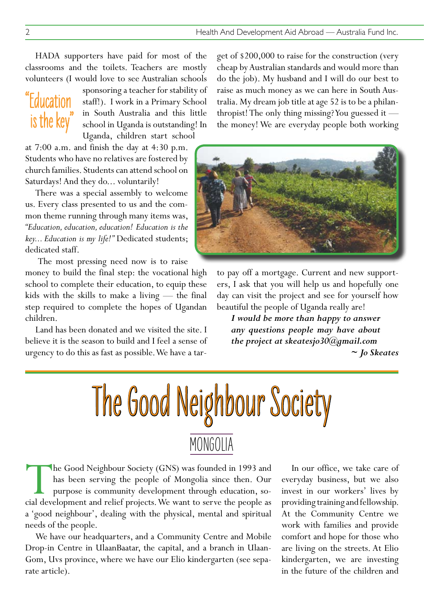HADA supporters have paid for most of the classrooms and the toilets. Teachers are mostly volunteers (I would love to see Australian schools

# "Education is the key"

sponsoring a teacher for stability of staff!). I work in a Primary School in South Australia and this little school in Uganda is outstanding! In Uganda, children start school

at 7:00 a.m. and finish the day at 4:30 p.m. Students who have no relatives are fostered by church families. Students can attend school on Saturdays! And they do... voluntarily!

There was a special assembly to welcome us. Every class presented to us and the common theme running through many items was, *"Education, education, education! Education is the key... Education is my life!"* Dedicated students; dedicated staff.

The most pressing need now is to raise

money to build the final step: the vocational high school to complete their education, to equip these kids with the skills to make a living — the final step required to complete the hopes of Ugandan children.

Land has been donated and we visited the site. I believe it is the season to build and I feel a sense of urgency to do this as fast as possible. We have a target of \$200,000 to raise for the construction (very cheap by Australian standards and would more than do the job). My husband and I will do our best to raise as much money as we can here in South Australia. My dream job title at age 52 is to be a philanthropist! The only thing missing? You guessed it the money! We are everyday people both working



to pay off a mortgage. Current and new supporters, I ask that you will help us and hopefully one day can visit the project and see for yourself how beautiful the people of Uganda really are!

*I would be more than happy to answer any questions people may have about the project at skeatesjo30@gmail.com ~ Jo Skeates*



The Good Neighbour Society (GNS) was founded in 1993 and<br>has been serving the people of Mongolia since then. Our<br>purpose is community development through education, so-<br>cial development and relief projects. We want to serv has been serving the people of Mongolia since then. Our purpose is community development through education, social development and relief projects. We want to serve the people as a 'good neighbour', dealing with the physical, mental and spiritual needs of the people.

We have our headquarters, and a Community Centre and Mobile Drop-in Centre in UlaanBaatar, the capital, and a branch in Ulaan-Gom, Uvs province, where we have our Elio kindergarten (see separate article).

In our office, we take care of everyday business, but we also invest in our workers' lives by providing training and fellowship. At the Community Centre we work with families and provide comfort and hope for those who are living on the streets. At Elio kindergarten, we are investing in the future of the children and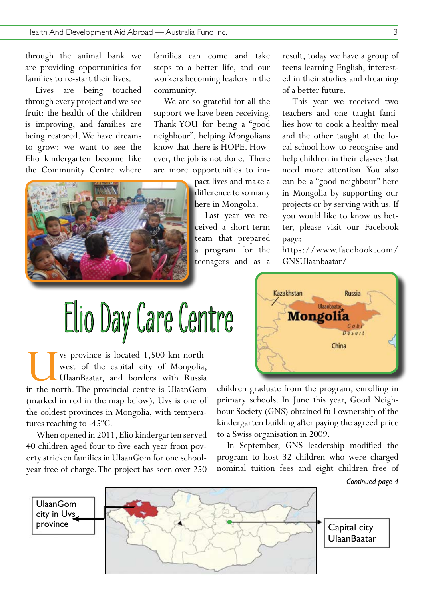through the animal bank we are providing opportunities for families to re-start their lives.

Lives are being touched through every project and we see fruit: the health of the children is improving, and families are being restored. We have dreams to grow: we want to see the Elio kindergarten become like the Community Centre where

families can come and take steps to a better life, and our workers becoming leaders in the community.

We are so grateful for all the support we have been receiving. Thank YOU for being a "good neighbour", helping Mongolians know that there is HOPE. However, the job is not done. There are more opportunities to im-

> pact lives and make a difference to so many here in Mongolia.

Last year we received a short-term team that prepared a program for the teenagers and as a result, today we have a group of teens learning English, interested in their studies and dreaming of a better future.

This year we received two teachers and one taught families how to cook a healthy meal and the other taught at the local school how to recognise and help children in their classes that need more attention. You also can be a "good neighbour" here in Mongolia by supporting our projects or by serving with us. If you would like to know us better, please visit our Facebook page:

https://www.facebook.com/ GNSUlaanbaatar/



UVS province is located 1,500 km north-<br>west of the capital city of Mongolia,<br>UlaanBaatar, and borders with Russia<br>in the north. The provincial centre is UlaanGom west of the capital city of Mongolia, UlaanBaatar, and borders with Russia (marked in red in the map below). Uvs is one of the coldest provinces in Mongolia, with temperatures reaching to -45ºC.

When opened in 2011, Elio kindergarten served 40 children aged four to five each year from poverty stricken families in UlaanGom for one schoolyear free of charge. The project has seen over 250



children graduate from the program, enrolling in primary schools. In June this year, Good Neighbour Society (GNS) obtained full ownership of the kindergarten building after paying the agreed price to a Swiss organisation in 2009.

In September, GNS leadership modified the program to host 32 children who were charged nominal tuition fees and eight children free of

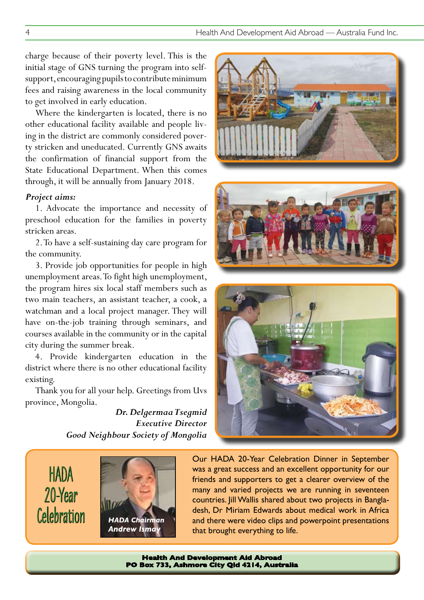charge because of their poverty level. This is the initial stage of GNS turning the program into selfsupport, encouraging pupils to contribute minimum fees and raising awareness in the local community to get involved in early education.

Where the kindergarten is located, there is no other educational facility available and people living in the district are commonly considered poverty stricken and uneducated. Currently GNS awaits the confirmation of financial support from the State Educational Department. When this comes through, it will be annually from January 2018.

# *Project aims:*

1. Advocate the importance and necessity of preschool education for the families in poverty stricken areas.

2. To have a self-sustaining day care program for the community.

3. Provide job opportunities for people in high unemployment areas. To fight high unemployment, the program hires six local staff members such as two main teachers, an assistant teacher, a cook, a watchman and a local project manager. They will have on-the-job training through seminars, and courses available in the community or in the capital city during the summer break.

4. Provide kindergarten education in the district where there is no other educational facility existing.

Thank you for all your help. Greetings from Uvs province, Mongolia.

> *Dr. Delgermaa Tsegmid Executive Director Good Neighbour Society of Mongolia*







HADA 20-Year **Celebration** 



Our HADA 20-Year Celebration Dinner in September was a great success and an excellent opportunity for our friends and supporters to get a clearer overview of the many and varied projects we are running in seventeen countries. Jill Wallis shared about two projects in Bangladesh, Dr Miriam Edwards about medical work in Africa and there were video clips and powerpoint presentations that brought everything to life.

**Health And Development Aid Abroad PO Box 733, Ashmore City Qld 4214, Australia**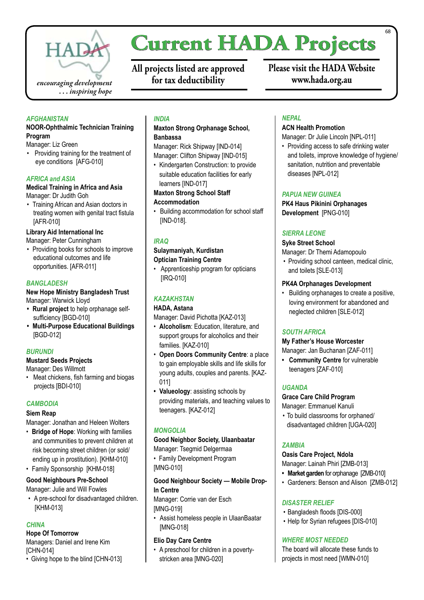

# **Current HADA Projects**

**All projects listed are approved for tax deductibility**

**Please visit the HADA Website www.hada.org.au**

## *AFGHANISTAN*

#### **NOOR-Ophthalmic Technician Training Program**

Manager: Liz Green

• Providing training for the treatment of eye conditions [AFG-010]

# *AFRICA and ASIA*

#### **Medical Training in Africa and Asia**  Manager: Dr Judith Goh

• Training African and Asian doctors in treating women with genital tract fistula [AFR-010]

# **Library Aid International Inc**

Manager: Peter Cunningham

• Providing books for schools to improve educational outcomes and life opportunities. [AFR-011]

# *BANGLADESH*

## **New Hope Ministry Bangladesh Trust** Manager: Warwick Lloyd

- **• Rural project** to help orphanage selfsufficiency [BGD-010]
- **• Multi-Purpose Educational Buildings** [BGD-012]

#### *BURUNDI*

# **Mustard Seeds Projects**

Manager: Des Willmott

• Meat chickens, fish farming and biogas projects [BDI-010]

# *CAMBODIA*

#### **Siem Reap**

Manager: Jonathan and Heleen Wolters

- • **Bridge of Hope**: Working with families and communities to prevent children at risk becoming street children (or sold/ ending up in prostitution). [KHM-010]
- Family Sponsorship [KHM-018]

# **Good Neighbours Pre-School**

Manager: Julie and Will Fowles

• A pre-school for disadvantaged children. [KHM-013]

# *CHINA*

# **Hope Of Tomorrow**

Managers: Daniel and Irene Kim [CHN-014]

• Giving hope to the blind [CHN-013]

# *INDIA*

# **Maxton Strong Orphanage School, Banbassa**

Manager: Rick Shipway [IND-014] Manager: Clifton Shipway [IND-015]

• Kindergarten Construction: to provide suitable education facilities for early learners [IND-017]

# **Maxton Strong School Staff Accommodation**

• Building accommodation for school staff [IND-018].

# *IRAQ*

# **Sulaymaniyah, Kurdistan Optician Training Centre**

• Apprenticeship program for opticians [IRQ-010]

# *KAZAKHSTAN*

# **HADA, Astana**

Manager: David Pichotta [KAZ-013]

- • **Alcoholism**: Education, literature, and support groups for alcoholics and their families. [KAZ-010]
- • **Open Doors Community Centre**: a place to gain employable skills and life skills for young adults, couples and parents. [KAZ-011]
- **• Valueology**: assisting schools by providing materials, and teaching values to teenagers. [KAZ-012]

# *MONGOLIA*

# **Good Neighbor Society, Ulaanbaatar**

Manager: Tsegmid Delgermaa

• Family Development Program [MNG-010]

# **Good Neighbour Society — Mobile Drop-In Centre**

Manager: Corrie van der Esch [MNG-019]

• Assist homeless people in UlaanBaatar [MNG-018]

# **Elio Day Care Centre**

• A preschool for children in a povertystricken area [MNG-020]

# *NEPAL*

# **ACN Health Promotion**

Manager: Dr Julie Lincoln [NPL-011]

• Providing access to safe drinking water and toilets, improve knowledge of hygiene/ sanitation, nutrition and preventable diseases [NPL-012]

# *PAPUA NEW GUINEA*

**PK4 Haus Pikinini Orphanages Development** [PNG-010]

# *SIERRA LEONE*

# **Syke Street School**

Manager: Dr Themi Adamopoulo

• Providing school canteen, medical clinic, and toilets [SLE-013]

# **PK4A Orphanages Development**

• Building orphanages to create a positive, loving environment for abandoned and neglected children [SLE-012]

# *SOUTH AFRICA*

# **My Father's House Worcester**

Manager: Jan Buchanan [ZAF-011]

**• Community Centre** for vulnerable teenagers [ZAF-010]

# *UGANDA*

**Grace Care Child Program**

Manager: Emmanuel Kanuli

• To build classrooms for orphaned/ disadvantaged children [UGA-020]

# *ZAMBIA*

# **Oasis Care Project, Ndola**

Manager: Lainah Phiri [ZMB-013]

- **• Market garden** for orphanage [ZMB-010]
- • Gardeners: Benson and Alison [ZMB-012]

# *DISASTER RELIEF*

- • Bangladesh floods [DIS-000]
- Help for Syrian refugees [DIS-010]

# *WHERE MOST NEEDED*

The board will allocate these funds to projects in most need [WMN-010]

68